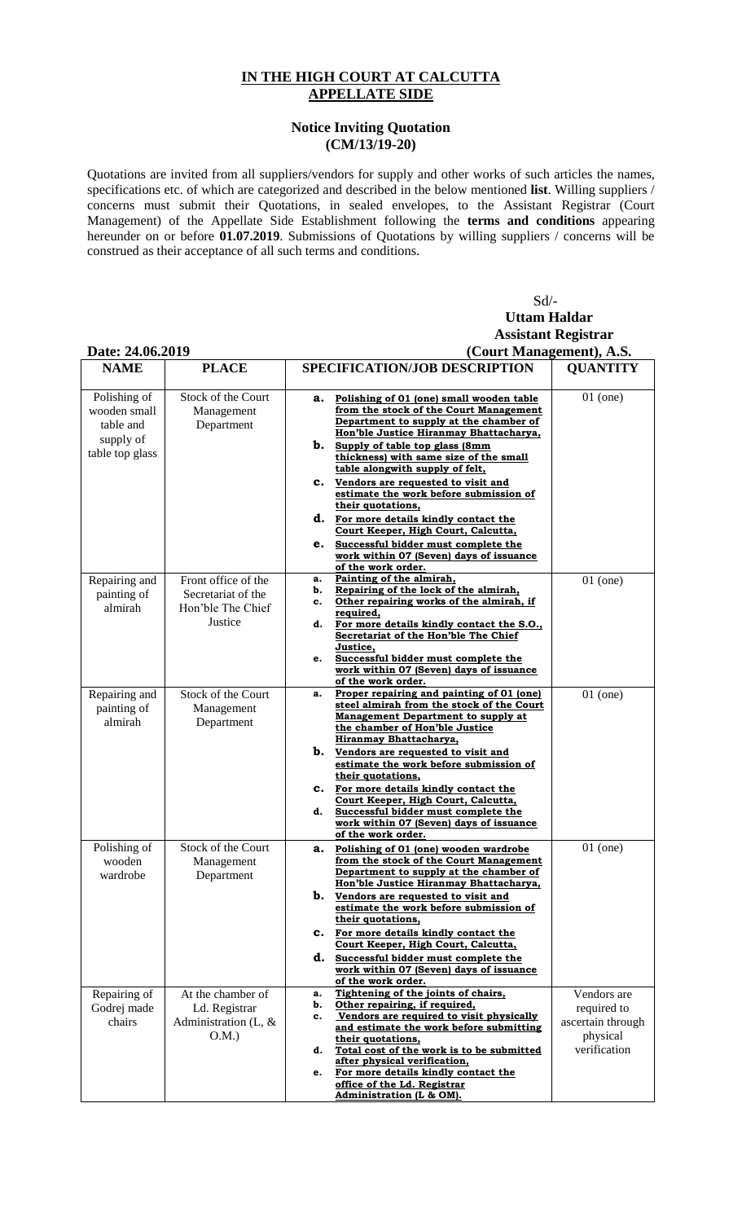## **IN THE HIGH COURT AT CALCUTTA APPELLATE SIDE**

## **Notice Inviting Quotation (CM/13/19-20)**

Quotations are invited from all suppliers/vendors for supply and other works of such articles the names, specifications etc. of which are categorized and described in the below mentioned **list**. Willing suppliers / concerns must submit their Quotations, in sealed envelopes, to the Assistant Registrar (Court Management) of the Appellate Side Establishment following the **terms and conditions** appearing hereunder on or before **01.07.2019**. Submissions of Quotations by willing suppliers / concerns will be construed as their acceptance of all such terms and conditions.

## Sd/- **Uttam Haldar Assistant Registrar Date: 24.06.2019 (Court Management), A.S.**

| DAIC. 47.VV.4V1 <i>7</i>                                                  |                                                                           | (Court Management), A.D.                                                                                                                                                                                                                                                                                                                                                                                                                                                                                                                                                                                  |                                                                             |
|---------------------------------------------------------------------------|---------------------------------------------------------------------------|-----------------------------------------------------------------------------------------------------------------------------------------------------------------------------------------------------------------------------------------------------------------------------------------------------------------------------------------------------------------------------------------------------------------------------------------------------------------------------------------------------------------------------------------------------------------------------------------------------------|-----------------------------------------------------------------------------|
| <b>NAME</b>                                                               | <b>PLACE</b>                                                              | SPECIFICATION/JOB DESCRIPTION                                                                                                                                                                                                                                                                                                                                                                                                                                                                                                                                                                             | <b>QUANTITY</b>                                                             |
| Polishing of<br>wooden small<br>table and<br>supply of<br>table top glass | Stock of the Court<br>Management<br>Department                            | Polishing of 01 (one) small wooden table<br>а.<br>from the stock of the Court Management<br>Department to supply at the chamber of<br>Hon'ble Justice Hiranmay Bhattacharya,<br><b>b.</b> Supply of table top glass (8mm<br>thickness) with same size of the small<br>table alongwith supply of felt,<br>C. Vendors are requested to visit and<br>estimate the work before submission of<br>their quotations,<br>d. For more details kindly contact the<br>Court Keeper, High Court, Calcutta,<br>e. Successful bidder must complete the<br>work within 07 (Seven) days of issuance<br>of the work order. | $01$ (one)                                                                  |
| Repairing and<br>painting of<br>almirah                                   | Front office of the<br>Secretariat of the<br>Hon'ble The Chief<br>Justice | Painting of the almirah,<br>a.<br>Repairing of the lock of the almirah,<br>b.<br>Other repairing works of the almirah, if<br>c.<br>required,<br>For more details kindly contact the S.O.,<br>d.<br>Secretariat of the Hon'ble The Chief<br>Justice,<br>Successful bidder must complete the<br>e.<br>work within 07 (Seven) days of issuance<br>of the work order.                                                                                                                                                                                                                                         | $01$ (one)                                                                  |
| Repairing and<br>painting of<br>almirah                                   | Stock of the Court<br>Management<br>Department                            | Proper repairing and painting of 01 (one)<br>a.<br>steel almirah from the stock of the Court<br><b>Management Department to supply at</b><br>the chamber of Hon'ble Justice<br>Hiranmay Bhattacharya,<br><b>b.</b> Vendors are requested to visit and<br>estimate the work before submission of<br>their quotations,<br>C. For more details kindly contact the<br>Court Keeper, High Court, Calcutta,<br>Successful bidder must complete the<br>d.<br>work within 07 (Seven) days of issuance<br>of the work order.                                                                                       | $01$ (one)                                                                  |
| Polishing of<br>wooden<br>wardrobe                                        | Stock of the Court<br>Management<br>Department                            | Polishing of 01 (one) wooden wardrobe<br>а.<br>from the stock of the Court Management<br>Department to supply at the chamber of<br>Hon'ble Justice Hiranmay Bhattacharya,<br>Vendors are requested to visit and<br>b.<br>estimate the work before submission of<br>their quotations,<br>C. For more details kindly contact the<br>Court Keeper, High Court, Calcutta,<br>d. Successful bidder must complete the<br>work within 07 (Seven) days of issuance<br>of the work order.                                                                                                                          | $01$ (one)                                                                  |
| Repairing of<br>Godrej made<br>chairs                                     | At the chamber of<br>Ld. Registrar<br>Administration (L, $\&$<br>O.M.     | Tightening of the joints of chairs,<br>a.<br>Other repairing, if required,<br>b.<br>Vendors are required to visit physically<br>c.<br>and estimate the work before submitting<br>their quotations,<br>Total cost of the work is to be submitted<br>d.<br>after physical verification,<br>For more details kindly contact the<br>e.<br>office of the Ld. Registrar<br>Administration (L & OM).                                                                                                                                                                                                             | Vendors are<br>required to<br>ascertain through<br>physical<br>verification |